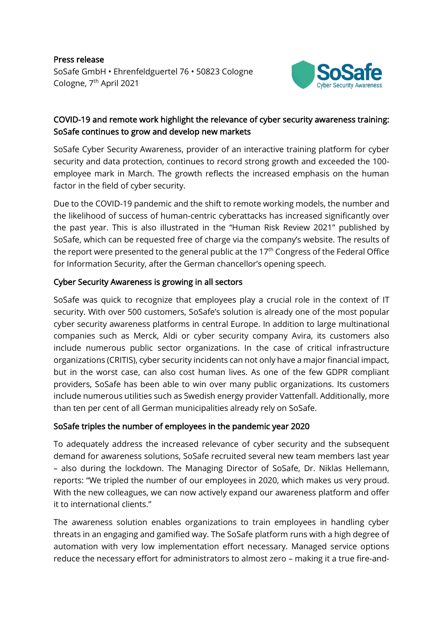Press release SoSafe GmbH • Ehrenfeldguertel 76 • 50823 Cologne Cologne, 7<sup>th</sup> April 2021



# COVID-19 and remote work highlight the relevance of cyber security awareness training: SoSafe continues to grow and develop new markets

SoSafe Cyber Security Awareness, provider of an interactive training platform for cyber security and data protection, continues to record strong growth and exceeded the 100 employee mark in March. The growth reflects the increased emphasis on the human factor in the field of cyber security.

Due to the COVID-19 pandemic and the shift to remote working models, the number and the likelihood of success of human-centric cyberattacks has increased significantly over the past year. This is also illustrated in the "Human Risk Review 2021" published by SoSafe, which can be requested free of charge via the company's website. The results of the report were presented to the general public at the 17<sup>th</sup> Congress of the Federal Office for Information Security, after the German chancellor's opening speech.

# Cyber Security Awareness is growing in all sectors

SoSafe was quick to recognize that employees play a crucial role in the context of IT security. With over 500 customers, SoSafe's solution is already one of the most popular cyber security awareness platforms in central Europe. In addition to large multinational companies such as Merck, Aldi or cyber security company Avira, its customers also include numerous public sector organizations. In the case of critical infrastructure organizations (CRITIS), cyber security incidents can not only have a major financial impact, but in the worst case, can also cost human lives. As one of the few GDPR compliant providers, SoSafe has been able to win over many public organizations. Its customers include numerous utilities such as Swedish energy provider Vattenfall. Additionally, more than ten per cent of all German municipalities already rely on SoSafe.

#### SoSafe triples the number of employees in the pandemic year 2020

To adequately address the increased relevance of cyber security and the subsequent demand for awareness solutions, SoSafe recruited several new team members last year – also during the lockdown. The Managing Director of SoSafe, Dr. Niklas Hellemann, reports: "We tripled the number of our employees in 2020, which makes us very proud. With the new colleagues, we can now actively expand our awareness platform and offer it to international clients."

The awareness solution enables organizations to train employees in handling cyber threats in an engaging and gamified way. The SoSafe platform runs with a high degree of automation with very low implementation effort necessary. Managed service options reduce the necessary effort for administrators to almost zero – making it a true fire-and